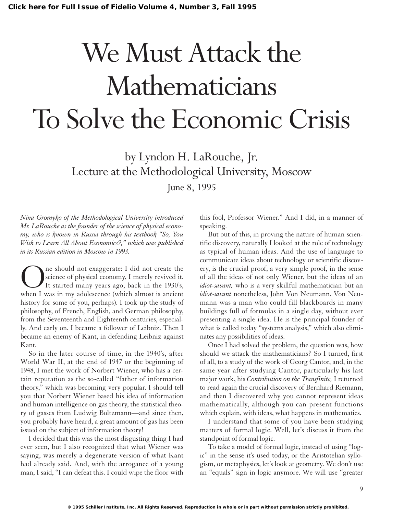# We Must Attack the Mathematicians To Solve the Economic Crisis

by Lyndon H. LaRouche, Jr. Lecture at the Methodological University, Moscow June 8, 1995

*Nina Gromyko of the Methodological University introduced Mr. LaRouche as the founder of the science of physical economy, who is known in Russia through his textbook "So, You Wish to Learn All About Economics?," which was published in its Russian edition in Moscow in 1993.*

One should not exaggerate: I did not create the<br>science of physical economy, I merely revived it.<br>It started many years ago, back in the 1930's,<br>when I was in my adolescence (which almost is ancient science of physical economy, I merely revived it. It started many years ago, back in the 1930's, when I was in my adolescence (which almost is ancient history for some of you, perhaps). I took up the study of philosophy, of French, English, and German philosophy, from the Seventeenth and Eighteenth centuries, especially. And early on, I became a follower of Leibniz. Then I became an enemy of Kant, in defending Leibniz against Kant.

So in the later course of time, in the 1940's, after World War II, at the end of 1947 or the beginning of 1948, I met the work of Norbert Wiener, who has a certain reputation as the so-called "father of information theory," which was becoming very popular. I should tell you that Norbert Wiener based his idea of information and human intelligence on gas theory, the statistical theory of gasses from Ludwig Boltzmann—and since then, you probably have heard, a great amount of gas has been issued on the subject of information theory!

I decided that this was the most disgusting thing I had ever seen, but I also recognized that what Wiener was saying, was merely a degenerate version of what Kant had already said. And, with the arrogance of a young man, I said, "I can defeat this. I could wipe the floor with

this fool, Professor Wiener." And I did, in a manner of speaking.

But out of this, in proving the nature of human scientific discovery, naturally I looked at the role of technology as typical of human ideas. And the use of language to communicate ideas about technology or scientific discovery, is the crucial proof, a very simple proof, in the sense of all the ideas of not only Wiener, but the ideas of an *idiot-savant,* who is a very skillful mathematician but an *idiot-savant* nonetheless, John Von Neumann. Von Neumann was a man who could fill blackboards in many buildings full of formulas in a single day, without ever presenting a single idea. He is the principal founder of what is called today "systems analysis," which also eliminates any possibilities of ideas.

Once I had solved the problem, the question was, how should we attack the mathematicians? So I turned, first of all, to a study of the work of Georg Cantor, and, in the same year after studying Cantor, particularly his last major work, his *Contribution on the Transfinite,* I returned to read again the crucial discovery of Bernhard Riemann, and then I discovered why you cannot represent ideas mathematically, although you can present functions which explain, with ideas, what happens in mathematics.

I understand that some of you have been studying matters of formal logic. Well, let's discuss it from the standpoint of formal logic.

To take a model of formal logic, instead of using "logic" in the sense it's used today, or the Aristotelian syllogism, or metaphysics, let's look at geometry. We don't use an "equals" sign in logic anymore. We will use "greater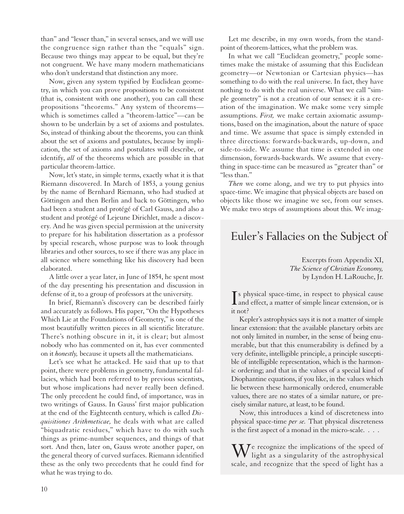than" and "lesser than," in several senses, and we will use the congruence sign rather than the "equals" sign. Because two things may appear to be equal, but they're not congruent. We have many modern mathematicians who don't understand that distinction any more.

Now, given any system typified by Euclidean geometry, in which you can prove propositions to be consistent (that is, consistent with one another), you can call these propositions "theorems." Any system of theorems which is sometimes called a "theorem-lattice"—can be shown to be underlain by a set of axioms and postulates. So, instead of thinking about the theorems, you can think about the set of axioms and postulates, because by implication, the set of axioms and postulates will describe, or identify, *all* of the theorems which are possible in that particular theorem-lattice.

Now, let's state, in simple terms, exactly what it is that Riemann discovered. In March of 1853, a young genius by the name of Bernhard Riemann, who had studied at Göttingen and then Berlin and back to Göttingen, who had been a student and protégé of Carl Gauss, and also a student and protégé of Lejeune Dirichlet, made a discovery. And he was given special permission at the university to prepare for his habilitation dissertation as a professor by special research, whose purpose was to look through libraries and other sources, to see if there was any place in all science where something like his discovery had been elaborated.

A little over a year later, in June of 1854, he spent most of the day presenting his presentation and discussion in defense of it, to a group of professors at the university.

In brief, Riemann's discovery can be described fairly and accurately as follows. His paper, "On the Hypotheses Which Lie at the Foundations of Geometry," is one of the most beautifully written pieces in all scientific literature. There's nothing obscure in it, it is clear; but almost nobody who has commented on it, has ever commented on it *honestly,* because it upsets all the mathematicians.

Let's see what he attacked. He said that up to that point, there were problems in geometry, fundamental fallacies, which had been referred to by previous scientists, but whose implications had never really been defined. The only precedent he could find, of importance, was in two writings of Gauss. In Gauss' first major publication at the end of the Eighteenth century, which is called *Disquisitiones Arithmeticae,* he deals with what are called "biquadratic residues," which have to do with such things as prime-number sequences, and things of that sort. And then, later on, Gauss wrote another paper, on the general theory of curved surfaces. Riemann identified these as the only two precedents that he could find for what he was trying to do.

Let me describe, in my own words, from the standpoint of theorem-lattices, what the problem was.

In what we call "Euclidean geometry," people sometimes make the mistake of assuming that this Euclidean geometry—or Newtonian or Cartesian physics—has something to do with the real universe. In fact, they have nothing to do with the real universe. What we call "simple geometry" is not a creation of our senses: it is a creation of the imagination. We make some very simple assumptions. *First,* we make certain axiomatic assumptions, based on the imagination, about the nature of space and time. We assume that space is simply extended in three directions: forwards-backwards, up-down, and side-to-side. We assume that time is extended in one dimension, forwards-backwards. We assume that everything in space-time can be measured as "greater than" or "less than."

*Then* we come along, and we try to put physics into space-time. We imagine that physical objects are based on objects like those we imagine we see, from our senses. We make two steps of assumptions about this. We imag-

## Euler's Fallacies on the Subject of

Excerpts from Appendix XI, *The Science of Christian Economy,* by Lyndon H. LaRouche, Jr.

Is physical space-time, in respect to physical cause<br>and effect, a matter of simple linear extension, or is s physical space-time, in respect to physical cause it not?

Kepler's astrophysics says it is not a matter of simple linear extension: that the available planetary orbits are not only limited in number, in the sense of being enumerable, but that this enumerability is defined by a very definite, intelligible principle, a principle susceptible of intelligible representation, which is the harmonic ordering; and that in the values of a special kind of Diophantine equations, if you like, in the values which lie between these harmonically ordered, enumerable values, there are no states of a similar nature, or precisely similar nature, at least, to be found.

Now, this introduces a kind of discreteness into physical space-time *per se.* That physical discreteness is the first aspect of a monad in the micro-scale. . . .

We recognize the implications of the speed of<br>light as a singularity of the astrophysical scale, and recognize that the speed of light has a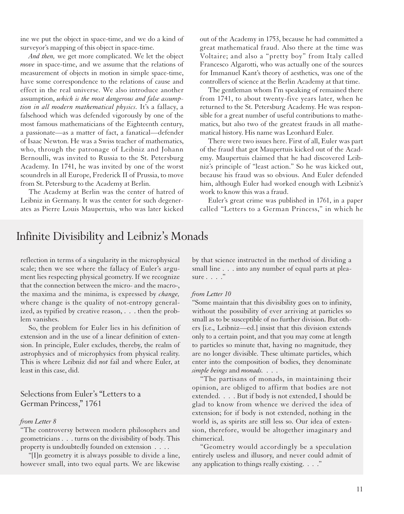ine we put the object in space-time, and we do a kind of surveyor's mapping of this object in space-time.

*And then,* we get more complicated. We let the object *move* in space-time, and we assume that the relations of measurement of objects in motion in simple space-time, have some correspondence to the relations of cause and effect in the real universe. We also introduce another assumption, *which is the most dangerous and false assumption in all modern mathematical physics.* It's a fallacy, a falsehood which was defended vigorously by one of the most famous mathematicians of the Eighteenth century, a passionate—as a matter of fact, a fanatical—defender of Isaac Newton. He was a Swiss teacher of mathematics, who, through the patronage of Leibniz and Johann Bernoulli, was invited to Russia to the St. Petersburg Academy. In 1741, he was invited by one of the worst scoundrels in all Europe, Frederick II of Prussia, to move from St. Petersburg to the Academy at Berlin.

The Academy at Berlin was the center of hatred of Leibniz in Germany. It was the center for such degenerates as Pierre Louis Maupertuis, who was later kicked

out of the Academy in 1753, because he had committed a great mathematical fraud. Also there at the time was Voltaire; and also a "pretty boy" from Italy called Francesco Algarotti, who was actually one of the sources for Immanuel Kant's theory of aesthetics, was one of the controllers of science at the Berlin Academy at that time.

The gentleman whom I'm speaking of remained there from 1741, to about twenty-five years later, when he returned to the St. Petersburg Academy. He was responsible for a great number of useful contributions to mathematics, but also two of the greatest frauds in all mathematical history. His name was Leonhard Euler.

There were two issues here. First of all, Euler was part of the fraud that got Maupertuis kicked out of the Academy. Maupertuis claimed that he had discovered Leibniz's principle of "least action." So he was kicked out, because his fraud was so obvious. And Euler defended him, although Euler had worked enough with Leibniz's work to know this was a fraud.

Euler's great crime was published in 1761, in a paper called "Letters to a German Princess," in which he

### Infinite Divisibility and Leibniz's Monads

reflection in terms of a singularity in the microphysical scale; then we see where the fallacy of Euler's argument lies respecting physical geometry. If we recognize that the connection between the micro- and the macro-, the maxima and the minima, is expressed by *change,* where change is the quality of not-entropy generalized, as typified by creative reason, . . . then the problem vanishes.

So, the problem for Euler lies in his definition of extension and in the use of a linear definition of extension. In principle, Euler excludes, thereby, the realm of astrophysics and of microphysics from physical reality. This is where Leibniz did *not* fail and where Euler, at least in this case, did.

Selections from Euler's "Letters to a German Princess," 1761

#### *from Letter 8*

"The controversy between modern philosophers and geometricians . . . turns on the divisibility of body. This property is undoubtedly founded on extension . . . .

"[I]n geometry it is always possible to divide a line, however small, into two equal parts. We are likewise

by that science instructed in the method of dividing a small line . . . into any number of equal parts at pleasure . . . . "

#### *from Letter 10*

"Some maintain that this divisibility goes on to infinity, without the possibility of ever arriving at particles so small as to be susceptible of no further division. But others [i.e., Leibniz—ed.] insist that this division extends only to a certain point, and that you may come at length to particles so minute that, having no magnitude, they are no longer divisible. These ultimate particles, which enter into the composition of bodies, they denominate *simple beings* and *monads.* ...

"The partisans of monads, in maintaining their opinion, are obliged to affirm that bodies are not extended. . . . But if body is not extended, I should be glad to know from whence we derived the idea of extension; for if body is not extended, nothing in the world is, as spirits are still less so. Our idea of extension, therefore, would be altogether imaginary and chimerical.

"Geometry would accordingly be a speculation entirely useless and illusory, and never could admit of any application to things really existing. . . ."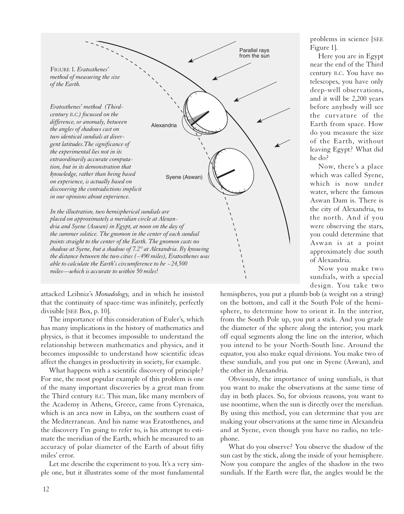

attacked Leibniz's *Monadology,* and in which he insisted that the continuity of space-time was infinitely, perfectly divisible [SEE Box, p. 10].

The importance of this consideration of Euler's, which has many implications in the history of mathematics and physics, is that it becomes impossible to understand the relationship between mathematics and physics, and it becomes impossible to understand how scientific ideas affect the changes in productivity in society, for example.

What happens with a scientific discovery of principle? For me, the most popular example of this problem is one of the many important discoveries by a great man from the Third century B.C. This man, like many members of the Academy in Athens, Greece, came from Cyrenaica, which is an area now in Libya, on the southern coast of the Mediterranean. And his name was Eratosthenes, and the discovery I'm going to refer to, is his attempt to estimate the meridian of the Earth, which he measured to an accuracy of polar diameter of the Earth of about fifty miles' error.

Let me describe the experiment to you. It's a very simple one, but it illustrates some of the most fundamental

problems in science [SEE Figure 1].

Here you are in Egypt near the end of the Third century B.C. You have no telescopes, you have only deep-well observations, and it will be 2,200 years before anybody will see the curvature of the Earth from space. How do you measure the size of the Earth, without leaving Egypt? What did he do?

Now, there's a place which was called Syene, which is now under water, where the famous Aswan Dam is. There is the city of Alexandria, to the north. And if you were observing the stars, you could determine that Aswan is at a point approximately due south of Alexandria.

Now you make two sundials, with a special design. You take two

hemispheres, you put a plumb bob (a weight on a string) on the bottom, and call it the South Pole of the hemisphere, to determine how to orient it. In the interior, from the South Pole up, you put a stick. And you grade the diameter of the sphere along the interior; you mark off equal segments along the line on the interior, which you intend to be your North-South line. Around the equator, you also make equal divisions. You make two of these sundials, and you put one in Syene (Aswan), and the other in Alexandria.

Obviously, the importance of using sundials, is that you want to make the observations at the same time of day in both places. So, for obvious reasons, you want to use noontime, when the sun is directly over the meridian. By using this method, you can determine that you are making your observations at the same time in Alexandria and at Syene, even though you have no radio, no telephone.

What do you observe? You observe the shadow of the sun cast by the stick, along the inside of your hemisphere. Now you compare the angles of the shadow in the two sundials. If the Earth were flat, the angles would be the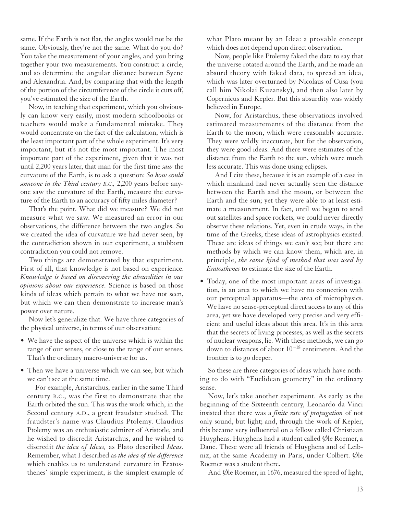same. If the Earth is not flat, the angles would not be the same. Obviously, they're not the same. What do you do? You take the measurement of your angles, and you bring together your two measurements. You construct a circle, and so determine the angular distance between Syene and Alexandria. And, by comparing that with the length of the portion of the circumference of the circle it cuts off, you've estimated the size of the Earth.

Now, in teaching that experiment, which you obviously can know very easily, most modern schoolbooks or teachers would make a fundamental mistake. They would concentrate on the fact of the calculation, which is the least important part of the whole experiment. It's very important, but it's not the most important. The most important part of the experiment, given that it was not until 2,200 years later, that man for the first time *saw* the curvature of the Earth, is to ask a question: *So how could someone in the Third century B.C.,* 2,200 years before anyone saw the curvature of the Earth, measure the curvature of the Earth to an accuracy of fifty miles diameter?

That's the point. What did we measure? We did not measure what we saw. We measured an error in our observations, the difference between the two angles. So we created the idea of curvature we had never seen, by the contradiction shown in our experiment, a stubborn contradiction you could not remove.

Two things are demonstrated by that experiment. First of all, that knowledge is not based on experience. *Knowledge is based on discovering the absurdities in our opinions about our experience.* Science is based on those kinds of ideas which pertain to what we have not seen, but which we can then demonstrate to increase man's power over nature.

Now let's generalize that. We have three categories of the physical universe, in terms of our observation:

- We have the aspect of the universe which is within the range of our senses, or close to the range of our senses. That's the ordinary macro-universe for us.
- Then we have a universe which we can see, but which we can't see at the same time.

For example, Aristarchus, earlier in the same Third century B.C., was the first to demonstrate that the Earth orbited the sun. This was the work which, in the Second century A.D., a great fraudster studied. The fraudster's name was Claudius Ptolemy. Claudius Ptolemy was an enthusiastic admirer of Aristotle, and he wished to discredit Aristarchus, and he wished to discredit *the idea of Ideas,* as Plato described *Ideas.* Remember, what I described as *the idea of the difference* which enables us to understand curvature in Eratosthenes' simple experiment, is the simplest example of what Plato meant by an Idea: a provable concept which does not depend upon direct observation.

Now, people like Ptolemy faked the data to say that the universe rotated around the Earth, and he made an absurd theory with faked data, to spread an idea, which was later overturned by Nicolaus of Cusa (you call him Nikolai Kuzansky), and then also later by Copernicus and Kepler. But this absurdity was widely believed in Europe.

Now, for Aristarchus, these observations involved estimated measurements of the distance from the Earth to the moon, which were reasonably accurate. They were wildly inaccurate, but for the observation, they were good ideas. And there were estimates of the distance from the Earth to the sun, which were much less accurate. This was done using eclipses.

And I cite these, because it is an example of a case in which mankind had never actually seen the distance between the Earth and the moon, or between the Earth and the sun; yet they were able to at least estimate a measurement. In fact, until we began to send out satellites and space rockets, we could never directly observe these relations. Yet, even in crude ways, in the time of the Greeks, these ideas of astrophysics existed. These are ideas of things we can't see; but there are methods by which we can know them, which are, in principle, *the same kind of method that was used by Eratosthenes* to estimate the size of the Earth.

• Today, one of the most important areas of investigation, is an area to which we have no connection with our perceptual apparatus—the area of microphysics. We have no sense-perceptual direct access to any of this area, yet we have developed very precise and very efficient and useful ideas about this area. It's in this area that the secrets of living processes, as well as the secrets of nuclear weapons, lie. With these methods, we can go down to distances of about  $10^{-18}$  centimeters. And the frontier is to go deeper.

So these are three categories of ideas which have nothing to do with "Euclidean geometry" in the ordinary sense.

Now, let's take another experiment. As early as the beginning of the Sixteenth century, Leonardo da Vinci insisted that there was a *finite rate of propagation* of not only sound, but light; and, through the work of Kepler, this became very influential on a fellow called Christiaan Huyghens. Huyghens had a student called Øle Roemer, a Dane. These were all friends of Huyghens and of Leibniz, at the same Academy in Paris, under Colbert. Øle Roemer was a student there.

And Øle Roemer, in 1676, measured the speed of light,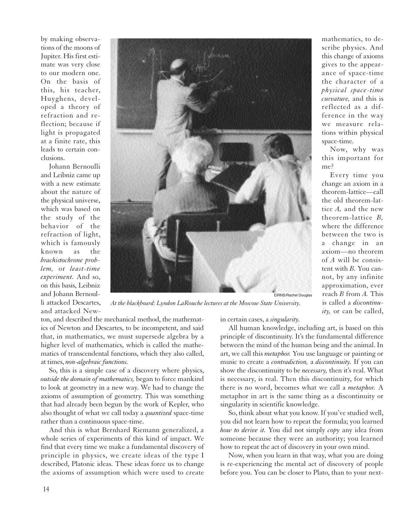by making observations of the moons of Jupiter. His first estimate was very close to our modern one. On the basis of this, his teacher, Huyghens, developed a theory of refraction and reflection; because if light is propagated at a finite rate, this leads to certain conclusions.

Johann Bernoulli and Leibniz came up with a new estimate about the nature of the physical universe, which was based on the study of the behavior of the refraction of light, which is famously known as the *brachistochrone problem,* or *least-time experiment.* And so, on this basis, Leibniz and Johann Bernoulli attacked Descartes, and attacked New-



mathematics, to describe physics. And this change of axioms gives to the appearance of space-time the character of a *physical space-time curvature,* and this is reflected as a difference in the way we measure relations within physical space-time.

Now, why was this important for me?

Every time you change an axiom in a theorem-lattice—call the old theorem-lattice *A,* and the new theorem-lattice *B,* where the difference between the two is a change in an axiom—no theorem of *A* will be consistent with *B.* You cannot, by any infinite approximation, ever reach *B* from *A.* This is called a *discontinuity,* or can be called,

*At the blackboard: Lyndon LaRouche lectures at the Moscow State University.*

ton, and described the mechanical method, the mathematics of Newton and Descartes, to be incompetent, and said that, in mathematics, we must supersede algebra by a higher level of mathematics, which is called the mathematics of transcendental functions, which they also called, at times, *non-algebraic functions.*

So, this is a simple case of a discovery where physics, *outside the domain of mathematics,* began to force mankind to look at geometry in a new way. We had to change the axioms of assumption of geometry. This was something that had already been begun by the work of Kepler, who also thought of what we call today a *quantized* space-time rather than a continuous space-time.

And this is what Bernhard Riemann generalized, a whole series of experiments of this kind of impact. We find that every time we make a fundamental discovery of principle in physics, we create ideas of the type I described, Platonic ideas. These ideas force us to change the axioms of assumption which were used to create in certain cases, a *singularity.*

All human knowledge, including art, is based on this principle of discontinuity. It's the fundamental difference between the mind of the human being and the animal. In art, we call this *metaphor.* You use language or painting or music to create a *contradiction,* a *discontinuity.* If you can show the discontinuity to be *necessary,* then it's real. What is necessary, is real. Then this discontinuity, for which there is no word, becomes what we call a *metaphor.* A metaphor in art is the same thing as a discontinuity or singularity in scientific knowledge.

So, think about what you know. If you've studied well, you did not learn how to repeat the formula; you learned *how to derive it.* You did not simply *copy* any idea from someone because they were an authority; you learned how to repeat the act of discovery in your own mind.

Now, when you learn in that way, what you are doing is re-experiencing the mental act of discovery of people before you. You can be closer to Plato, than to your next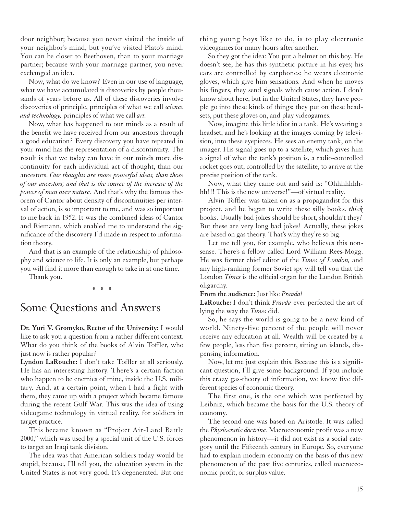door neighbor; because you never visited the inside of your neighbor's mind, but you've visited Plato's mind. You can be closer to Beethoven, than to your marriage partner; because with your marriage partner, you never exchanged an idea.

Now, what do we know? Even in our use of language, what we have accumulated is discoveries by people thousands of years before us. All of these discoveries involve discoveries of principle, principles of what we call *science and technology,* principles of what we call *art.*

Now, what has happened to our minds as a result of the benefit we have received from our ancestors through a good education? Every discovery you have repeated in your mind has the representation of a discontinuity. The result is that we today can have in our minds more discontinuity for each individual act of thought, than our ancestors. *Our thoughts are more powerful ideas, than those of our ancestors; and that is the source of the increase of the power of man over nature.* And that's why the famous theorem of Cantor about density of discontinuities per interval of action, is so important to me, and was so important to me back in 1952. It was the combined ideas of Cantor and Riemann, which enabled me to understand the significance of the discovery I'd made in respect to information theory.

And that is an example of the relationship of philosophy and science to life. It is only an example, but perhaps you will find it more than enough to take in at one time.

Thank you.

\* \* \*

## Some Questions and Answers

**Dr. Yuri V. Gromyko, Rector of the University:** I would like to ask you a question from a rather different context. What do you think of the books of Alvin Toffler, who just now is rather popular?

**Lyndon LaRouche:** I don't take Toffler at all seriously. He has an interesting history. There's a certain faction who happen to be enemies of mine, inside the U.S. military. And, at a certain point, when I had a fight with them, they came up with a project which became famous during the recent Gulf War. This was the idea of using videogame technology in virtual reality, for soldiers in target practice.

This became known as "Project Air-Land Battle 2000," which was used by a special unit of the U.S. forces to target an Iraqi tank division.

The idea was that American soldiers today would be stupid, because, I'll tell you, the education system in the United States is not very good. It's degenerated. But one thing young boys like to do, is to play electronic videogames for many hours after another.

So they got the idea: You put a helmet on this boy. He doesn't see, he has this synthetic picture in his eyes; his ears are controlled by earphones; he wears electronic gloves, which give him sensations. And when he moves his fingers, they send signals which cause action. I don't know about here, but in the United States, they have people go into these kinds of things: they put on these headsets, put these gloves on, and play videogames.

Now, imagine this little idiot in a tank. He's wearing a headset, and he's looking at the images coming by television, into these eyepieces. He sees an enemy tank, on the imager. His signal goes up to a satellite, which gives him a signal of what the tank's position is, a radio-controlled rocket goes out, controlled by the satellite, to arrive at the precise position of the tank.

Now, what they came out and said is: "Ohhhhhhhhh!!! This is the new universe!"—of virtual reality.

Alvin Toffler was taken on as a propagandist for this project, and he began to write these silly books, *thick* books. Usually bad jokes should be short, shouldn't they? But these are very long bad jokes! Actually, these jokes are based on gas theory. That's why they're so big.

Let me tell you, for example, who believes this nonsense. There's a fellow called Lord William Rees-Mogg. He was former chief editor of the *Times of London,* and any high-ranking former Soviet spy will tell you that the London *Times* is the official organ for the London British oligarchy.

**From the audience:** Just like *Pravda!*

**LaRouche:** I don't think *Pravda* ever perfected the art of lying the way the *Times* did.

So, he says the world is going to be a new kind of world. Ninety-five percent of the people will never receive any education at all. Wealth will be created by a few people, less than five percent, sitting on islands, dispensing information.

Now, let me just explain this. Because this is a significant question, I'll give some background. If you include this crazy gas-theory of information, we know five different species of economic theory.

The first one, is the one which was perfected by Leibniz, which became the basis for the U.S. theory of economy.

The second one was based on Aristotle. It was called the *Physiocratic doctrine.* Macroeconomic profit was a new phenomenon in history—it did not exist as a social category until the Fifteenth century in Europe. So, everyone had to explain modern economy on the basis of this new phenomenon of the past five centuries, called macroeconomic profit, or surplus value.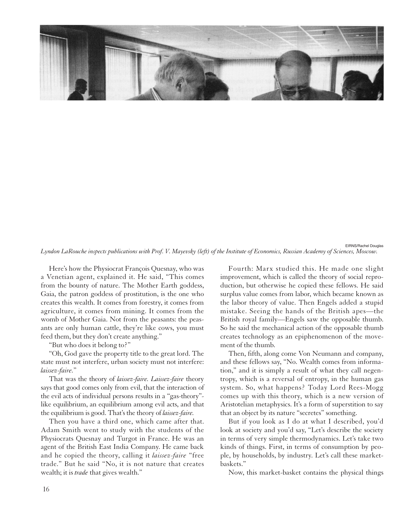

*Lyndon LaRouche inspects publications with Prof. V. Mayevsky (left) of the Institute of Economics, Russian Academy of Sciences, Moscow.*

Here's how the Physiocrat François Quesnay, who was a Venetian agent, explained it. He said, "This comes from the bounty of nature. The Mother Earth goddess, Gaia, the patron goddess of prostitution, is the one who creates this wealth. It comes from forestry, it comes from agriculture, it comes from mining. It comes from the womb of Mother Gaia. Not from the peasants: the peasants are only human cattle, they're like cows, you must feed them, but they don't create anything."

"But who does it belong to?"

"Oh, God gave the property title to the great lord. The state must not interfere, urban society must not interfere: *laissez-faire.*"

That was the theory of *laissez-faire. Laissez-faire* theory says that good comes only from evil, that the interaction of the evil acts of individual persons results in a "gas-theory" like equilibrium, an equilibrium among evil acts, and that the equilibrium is good. That's the theory of *laissez-faire.*

Then you have a third one, which came after that. Adam Smith went to study with the students of the Physiocrats Quesnay and Turgot in France. He was an agent of the British East India Company. He came back and he copied the theory, calling it *laissez-faire* "free trade." But he said "No, it is not nature that creates wealth; it is *trade* that gives wealth."

Fourth: Marx studied this. He made one slight improvement, which is called the theory of social reproduction, but otherwise he copied these fellows. He said surplus value comes from labor, which became known as the labor theory of value. Then Engels added a stupid mistake. Seeing the hands of the British apes—the British royal family—Engels saw the opposable thumb. So he said the mechanical action of the opposable thumb creates technology as an epiphenomenon of the movement of the thumb.

Then, fifth, along come Von Neumann and company, and these fellows say, "No. Wealth comes from information," and it is simply a result of what they call negentropy, which is a reversal of entropy, in the human gas system. So, what happens? Today Lord Rees-Mogg comes up with this theory, which is a new version of Aristotelian metaphysics. It's a form of superstition to say that an object by its nature "secretes" something.

But if you look as I do at what I described, you'd look at society and you'd say, "Let's describe the society in terms of very simple thermodynamics. Let's take two kinds of things. First, in terms of consumption by people, by households, by industry. Let's call these marketbaskets."

Now, this market-basket contains the physical things